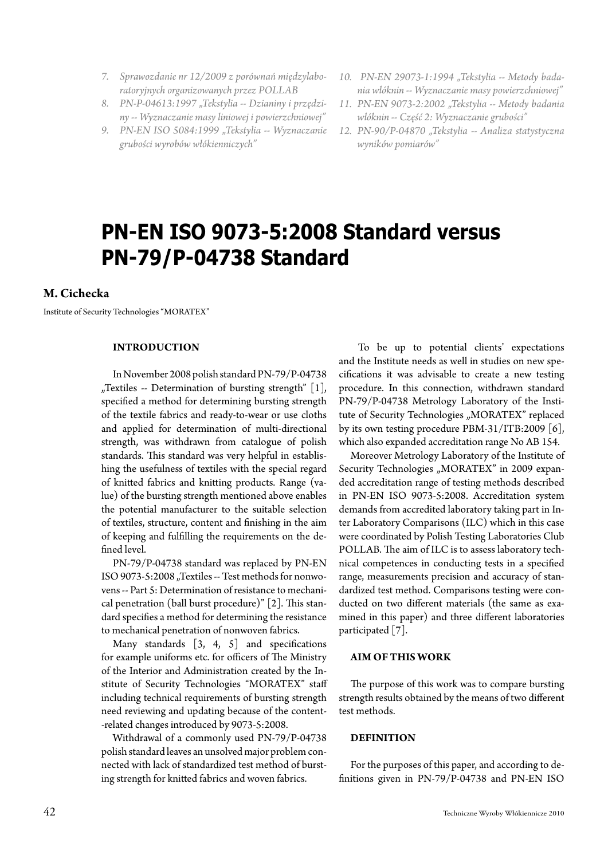- *7. Sprawozdanie nr 12/2009 z porównań międzylaboratoryjnych organizowanych przez POLLAB*
- 8. PN-P-04613:1997 "Tekstylia -- Dzianiny i przędzi*ny -- Wyznaczanie masy liniowej i powierzchniowej"*
- *9. PN-EN ISO 5084:1999 "Tekstylia -- Wyznaczanie grubości wyrobów włókienniczych"*
- *10. PN-EN 29073-1:1994 "Tekstylia -- Metody badania włóknin -- Wyznaczanie masy powierzchniowej"*
- *11. PN-EN 9073-2:2002 "Tekstylia -- Metody badania włóknin -- Część 2: Wyznaczanie grubości"*
- *12. PN-90/P-04870 "Tekstylia -- Analiza statystyczna wyników pomiarów"*

# **PN-EN ISO 9073-5:2008 Standard versus PN-79/P-04738 Standard**

# **M. Cichecka**

Institute of Security Technologies "MORATEX"

## **INTRODUCTION**

In November 2008 polish standard PN-79/P-04738 "Textiles -- Determination of bursting strength"  $[1]$ , specified a method for determining bursting strength of the textile fabrics and ready-to-wear or use cloths and applied for determination of multi-directional strength, was withdrawn from catalogue of polish standards. This standard was very helpful in establishing the usefulness of textiles with the special regard of knitted fabrics and knitting products. Range (value) of the bursting strength mentioned above enables the potential manufacturer to the suitable selection of textiles, structure, content and finishing in the aim of keeping and fulfilling the requirements on the defined level.

PN-79/P-04738 standard was replaced by PN-EN ISO 9073-5:2008 "Textiles -- Test methods for nonwovens -- Part 5: Determination of resistance to mechanical penetration (ball burst procedure)" [2]. This standard specifies a method for determining the resistance to mechanical penetration of nonwoven fabrics.

Many standards  $\begin{bmatrix} 3, 4, 5 \end{bmatrix}$  and specifications for example uniforms etc. for officers of The Ministry of the Interior and Administration created by the Institute of Security Technologies "MORATEX" staff including technical requirements of bursting strength need reviewing and updating because of the content- -related changes introduced by 9073-5:2008.

Withdrawal of a commonly used PN-79/P-04738 polish standard leaves an unsolved major problem connected with lack of standardized test method of bursting strength for knitted fabrics and woven fabrics.

 To be up to potential clients' expectations and the Institute needs as well in studies on new specifications it was advisable to create a new testing procedure. In this connection, withdrawn standard PN-79/P-04738 Metrology Laboratory of the Institute of Security Technologies "MORATEX" replaced by its own testing procedure PBM-31/ITB:2009 [6], which also expanded accreditation range No AB 154.

Moreover Metrology Laboratory of the Institute of Security Technologies "MORATEX" in 2009 expanded accreditation range of testing methods described in PN-EN ISO 9073-5:2008. Accreditation system demands from accredited laboratory taking part in Inter Laboratory Comparisons (ILC) which in this case were coordinated by Polish Testing Laboratories Club POLLAB. The aim of ILC is to assess laboratory technical competences in conducting tests in a specified range, measurements precision and accuracy of standardized test method. Comparisons testing were conducted on two different materials (the same as examined in this paper) and three different laboratories participated [7].

#### **AIM OF THIS WORK**

The purpose of this work was to compare bursting strength results obtained by the means of two different test methods.

#### **DEFINITION**

For the purposes of this paper, and according to definitions given in PN-79/P-04738 and PN-EN ISO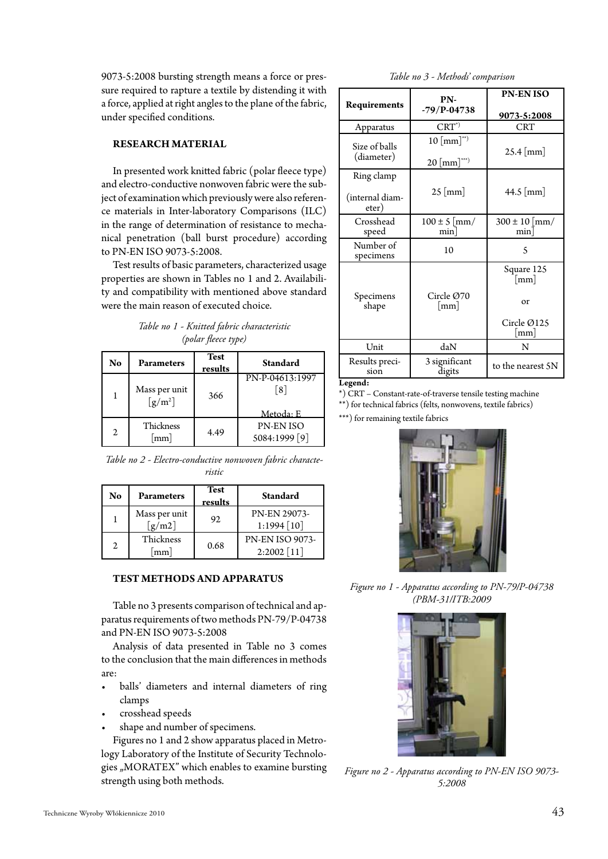9073-5:2008 bursting strength means a force or pressure required to rapture a textile by distending it with a force, applied at right angles to the plane of the fabric, under specified conditions.

## **RESEARCH MATERIAL**

In presented work knitted fabric (polar fleece type) and electro-conductive nonwoven fabric were the subject of examination which previously were also reference materials in Inter-laboratory Comparisons (ILC) in the range of determination of resistance to mechanical penetration (ball burst procedure) according to PN-EN ISO 9073-5:2008.

Test results of basic parameters, characterized usage properties are shown in Tables no 1 and 2. Availability and compatibility with mentioned above standard were the main reason of executed choice.

*Table no 1 - Knitted fabric characteristic (polar fleece type)*

| No             | <b>Parameters</b>                      | <b>Test</b><br>results | Standard                            |
|----------------|----------------------------------------|------------------------|-------------------------------------|
|                | Mass per unit<br>$\lceil g/m^2 \rceil$ | 366                    | PN-P-04613:1997<br>[8]<br>Metoda: E |
| $\mathfrak{2}$ | Thickness<br>mm                        | 4.49                   | <b>PN-ENISO</b><br>5084:1999 [9]    |

| Table no 2 - Electro-conductive nonwoven fabric characte- |  |
|-----------------------------------------------------------|--|
| ristic                                                    |  |

| No             | Parameters              | <b>Test</b><br>results | <b>Standard</b>                         |
|----------------|-------------------------|------------------------|-----------------------------------------|
|                | Mass per unit<br>[g/m2] | 92                     | PN-EN 29073-<br>$1:1994$ [10]           |
| $\mathfrak{D}$ | Thickness<br>mm         | 0.68                   | <b>PN-EN ISO 9073-</b><br>$2:2002$ [11] |

#### **TEST METHODS AND APPARATUS**

Table no 3 presents comparison of technical and apparatus requirements of two methods PN-79/P-04738 and PN-EN ISO 9073-5:2008

Analysis of data presented in Table no 3 comes to the conclusion that the main differences in methods are:

- balls' diameters and internal diameters of ring clamps
- crosshead speeds
- shape and number of specimens.

Figures no 1 and 2 show apparatus placed in Metrology Laboratory of the Institute of Security Technologies "MORATEX" which enables to examine bursting strength using both methods.

*Table no 3 - Methods' comparison*

| Requirements             | PN-                      | <b>PN-ENISO</b>          |  |
|--------------------------|--------------------------|--------------------------|--|
|                          | $-79/P-04738$            | 9073-5:2008              |  |
| Apparatus                | $CRT*$                   | <b>CRT</b>               |  |
| Size of balls            | $10 \, [\text{mm}]^{**}$ | $25.4$ [mm]              |  |
| (diameter)               | $20 \text{ [mm]}^{***}$  |                          |  |
| Ring clamp               |                          |                          |  |
| (internal diam-<br>eter) | $25 \text{ [mm]}$        | 44.5 [mm]                |  |
| Crosshead<br>speed       | $100 \pm 5$ [mm/<br>min  | $300 \pm 10$ [mm/<br>min |  |
| Number of<br>specimens   | 10                       | 5                        |  |
|                          |                          | Square 125<br> mm        |  |
| Specimens<br>shape       | Circle $Q70$<br> mm      | or                       |  |
|                          |                          | Circle Ø125<br> mm       |  |
| Unit                     | daN                      | N                        |  |
| Results preci-<br>sion   | 3 significant<br>digits  | to the nearest 5N        |  |
| Legend.                  |                          |                          |  |

**Legend:**

\*) CRT – Constant-rate-of-traverse tensile testing machine

\*\*) for technical fabrics (felts, nonwovens, textile fabrics)

\*\*\*) for remaining textile fabrics



*Figure no 1 - Apparatus according to PN-79/P-04738 (PBM-31/ITB:2009*



*Figure no 2 - Apparatus according to PN-EN ISO 9073- 5:2008*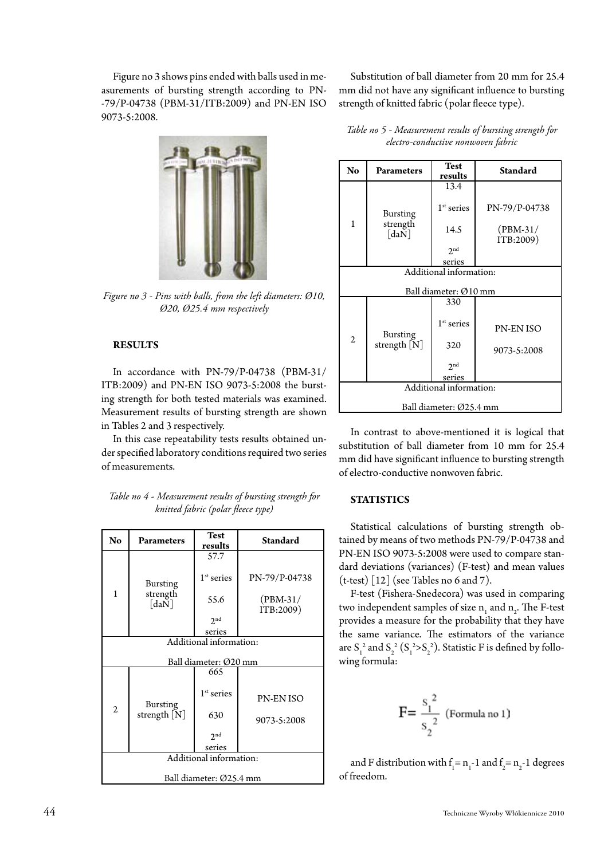Figure no 3 shows pins ended with balls used in measurements of bursting strength according to PN- -79/P-04738 (PBM-31/ITB:2009) and PN-EN ISO 9073-5:2008.



*Figure no 3 - Pins with balls, from the left diameters: Ø10, Ø20, Ø25.4 mm respectively*

## **RESULTS**

In accordance with PN-79/P-04738 (PBM-31/ ITB:2009) and PN-EN ISO 9073-5:2008 the bursting strength for both tested materials was examined. Measurement results of bursting strength are shown in Tables 2 and 3 respectively.

In this case repeatability tests results obtained under specified laboratory conditions required two series of measurements.

*Table no 4 - Measurement results of bursting strength for knitted fabric (polar fleece type)*

| No                                | Parameters                                                  | <b>Test</b><br>results                          | <b>Standard</b>                          |  |  |
|-----------------------------------|-------------------------------------------------------------|-------------------------------------------------|------------------------------------------|--|--|
| 1                                 | <b>Bursting</b><br>strength<br>$\lceil da \breve{N} \rceil$ | 57.7<br>$1st$ series<br>55.6<br>2 <sub>nd</sub> | PN-79/P-04738<br>$(PBM-31/$<br>ITB:2009) |  |  |
| series<br>Additional information: |                                                             |                                                 |                                          |  |  |
|                                   |                                                             | Ball diameter: Ø20 mm                           |                                          |  |  |
|                                   |                                                             | 665                                             |                                          |  |  |
| 2                                 | <b>Bursting</b><br>strength [N]                             | $1st$ series                                    | PN-EN ISO                                |  |  |
|                                   |                                                             | 630                                             | 9073-5:2008                              |  |  |
|                                   |                                                             | 2 <sub>nd</sub><br>series                       |                                          |  |  |
| Additional information:           |                                                             |                                                 |                                          |  |  |
|                                   |                                                             |                                                 |                                          |  |  |
| Ball diameter: Ø25.4 mm           |                                                             |                                                 |                                          |  |  |

Substitution of ball diameter from 20 mm for 25.4 mm did not have any significant influence to bursting strength of knitted fabric (polar fleece type).

| No                      | Parameters                                                                | Test<br>results       | <b>Standard</b>         |  |
|-------------------------|---------------------------------------------------------------------------|-----------------------|-------------------------|--|
|                         |                                                                           | 13.4                  |                         |  |
| 1                       | <b>Bursting</b><br>strength<br>$\lceil \text{da} \breve{\text{N}} \rceil$ | $1st$ series          | PN-79/P-04738           |  |
|                         |                                                                           | 14.5                  | $(PBM-31/$<br>ITB:2009) |  |
|                         |                                                                           | 2 <sub>nd</sub>       |                         |  |
|                         |                                                                           | series                |                         |  |
| Additional information: |                                                                           |                       |                         |  |
|                         |                                                                           | Ball diameter: Ø10 mm |                         |  |
|                         |                                                                           | 330                   |                         |  |
| 2                       | <b>Bursting</b><br>strength [N]                                           | $1st$ series          | <b>PN-EN ISO</b>        |  |
|                         |                                                                           | 320                   | 9073-5:2008             |  |
|                         |                                                                           | 2 <sub>nd</sub>       |                         |  |
|                         |                                                                           | series                |                         |  |
| Additional information: |                                                                           |                       |                         |  |
|                         |                                                                           |                       |                         |  |
| Ball diameter: Ø25.4 mm |                                                                           |                       |                         |  |

*Table no 5 - Measurement results of bursting strength for electro-conductive nonwoven fabric*

In contrast to above-mentioned it is logical that substitution of ball diameter from 10 mm for 25.4 mm did have significant influence to bursting strength of electro-conductive nonwoven fabric.

## **STATISTICS**

Statistical calculations of bursting strength obtained by means of two methods PN-79/P-04738 and PN-EN ISO 9073-5:2008 were used to compare standard deviations (variances) (F-test) and mean values  $(t-test)$  [12] (see Tables no 6 and 7).

F-test (Fishera-Snedecora) was used in comparing two independent samples of size  $n_1$  and  $n_2$ . The F-test provides a measure for the probability that they have the same variance. The estimators of the variance are  $S_1^2$  and  $S_2^2(S_1^2>S_2^2)$ . Statistic F is defined by following formula:

$$
F = \frac{s_1^2}{s_2^2}
$$
 (Formula no 1)

and F distribution with  $f_1 = n_1 - 1$  and  $f_2 = n_2 - 1$  degrees of freedom.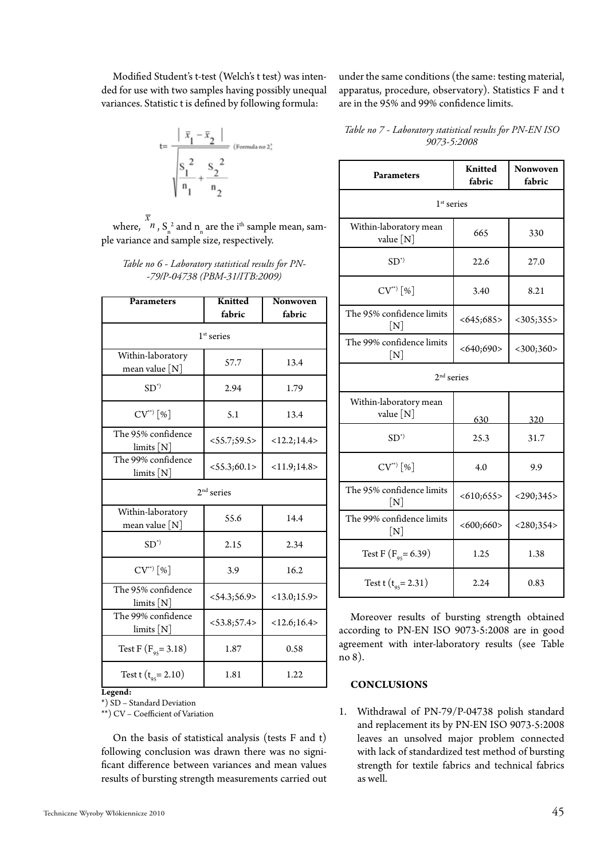Modified Student's t-test (Welch's t test) was intended for use with two samples having possibly unequal variances. Statistic t is defined by following formula:



where,  $\frac{\bar{x}}{n}$ ,  $S_n^2$  and  $n_n$  are the i<sup>th</sup> sample mean, sample variance and sample size, respectively.

#### *Table no 6 - Laboratory statistical results for PN- -79/P-04738 (PBM-31/ITB:2009)*

| Parameters                             | <b>Knitted</b><br>fabric | Nonwoven<br>fabric |  |  |
|----------------------------------------|--------------------------|--------------------|--|--|
| $1st$ series                           |                          |                    |  |  |
| Within-laboratory<br>mean value $[N]$  | 57.7                     | 13.4               |  |  |
| $SD^*$                                 | 2.94                     | 1.79               |  |  |
| $CV^{**}$ [%]                          | 5.1                      | 13.4               |  |  |
| The 95% confidence<br>$\lim$ its $[N]$ | <55.7;59.5>              | <12.2;14.4>        |  |  |
| The 99% confidence<br>limits [N]       | <55.3;60.1>              | <11.9;14.8>        |  |  |
| $2nd$ series                           |                          |                    |  |  |
| Within-laboratory<br>mean value $[N]$  | 55.6                     | 14.4               |  |  |
| $SD^*$                                 | 2.15                     | 2.34               |  |  |
| $CV^{(*)}$ [%]                         | 3.9                      | 16.2               |  |  |
| The 95% confidence<br>limits [N]       | $<$ 54.3; 56.9>          | <13.0;15.9>        |  |  |
| The 99% confidence<br>$\lim$ its $[N]$ | $<$ 53.8; 57.4 >         | <12.6;16.4>        |  |  |
| Test F $(F_{95} = 3.18)$               | 1.87                     | 0.58               |  |  |
| Test t ( $t_{95}$ = 2.10)              | 1.81                     | 1.22               |  |  |

**Legend:**

\*) SD – Standard Deviation

\*\*) CV – Coefficient of Variation

On the basis of statistical analysis (tests F and t) following conclusion was drawn there was no significant difference between variances and mean values results of bursting strength measurements carried out

*Table no 7 - Laboratory statistical results for PN-EN ISO*  are in the 95% and 99% confidence limits.

under the same conditions (the same: testing material, apparatus, procedure, observatory). Statistics F and t

| <b>Parameters</b>                                                    | <b>Knitted</b><br>fabric | Nonwoven<br>fabric |  |  |
|----------------------------------------------------------------------|--------------------------|--------------------|--|--|
| $1st$ series                                                         |                          |                    |  |  |
| Within-laboratory mean<br>value $[N]$                                | 665                      | 330                |  |  |
| $SD^*$                                                               | 22.6                     | 27.0               |  |  |
| $CV^{(*)}$ [%]                                                       | 3.40                     | 8.21               |  |  |
| The 95% confidence limits<br>$\left \lceil \mathrm{N} \right \rceil$ | <645;685>                | $<$ 305;355>       |  |  |
| The 99% confidence limits<br>$\left[ \text{N} \right]$               | <640;690>                | $<$ 300;360>       |  |  |
| $2nd$ series                                                         |                          |                    |  |  |
| Within-laboratory mean<br>value $[N]$                                | 630                      | 320                |  |  |
| $SD^*$                                                               | 25.3                     | 31.7               |  |  |
| $CV^{**}$ [%]                                                        | 4.0                      | 9.9                |  |  |
| The 95% confidence limits<br>$\lceil \text{N} \rceil$                | <610;655>                | $<$ 290;345>       |  |  |
| The 99% confidence limits<br>[N]                                     | <600;660>                | $<$ 280;354>       |  |  |
| Test F ( $F_{95}$ = 6.39)                                            | 1.25                     | 1.38               |  |  |
| Test t $(t_{95} = 2.31)$                                             | 2.24                     | 0.83               |  |  |

*9073-5:2008*

Moreover results of bursting strength obtained according to PN-EN ISO 9073-5:2008 are in good agreement with inter-laboratory results (see Table no 8).

#### **CONCLUSIONS**

1. Withdrawal of PN-79/P-04738 polish standard and replacement its by PN-EN ISO 9073-5:2008 leaves an unsolved major problem connected with lack of standardized test method of bursting strength for textile fabrics and technical fabrics as well.